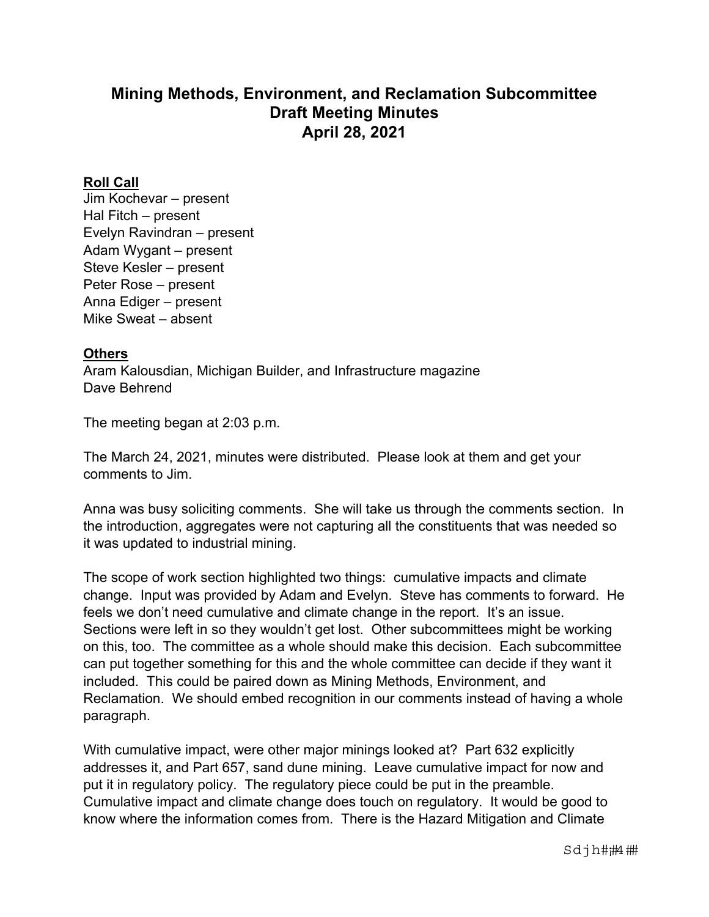## **Mining Methods, Environment, and Reclamation Subcommittee Draft Meeting Minutes April 28, 2021**

## **Roll Call**

Jim Kochevar – present Hal Fitch – present Evelyn Ravindran – present Adam Wygant – present Steve Kesler – present Peter Rose – present Anna Ediger – present Mike Sweat – absent

## **Others**

Aram Kalousdian, Michigan Builder, and Infrastructure magazine Dave Behrend

The meeting began at 2:03 p.m.

The March 24, 2021, minutes were distributed. Please look at them and get your comments to Jim.

Anna was busy soliciting comments. She will take us through the comments section. In the introduction, aggregates were not capturing all the constituents that was needed so it was updated to industrial mining.

The scope of work section highlighted two things: cumulative impacts and climate change. Input was provided by Adam and Evelyn. Steve has comments to forward. He feels we don't need cumulative and climate change in the report. It's an issue. Sections were left in so they wouldn't get lost. Other subcommittees might be working on this, too. The committee as a whole should make this decision. Each subcommittee can put together something for this and the whole committee can decide if they want it included. This could be paired down as Mining Methods, Environment, and Reclamation. We should embed recognition in our comments instead of having a whole paragraph.

With cumulative impact, were other major minings looked at? Part 632 explicitly addresses it, and Part 657, sand dune mining. Leave cumulative impact for now and put it in regulatory policy. The regulatory piece could be put in the preamble. Cumulative impact and climate change does touch on regulatory. It would be good to know where the information comes from. There is the Hazard Mitigation and Climate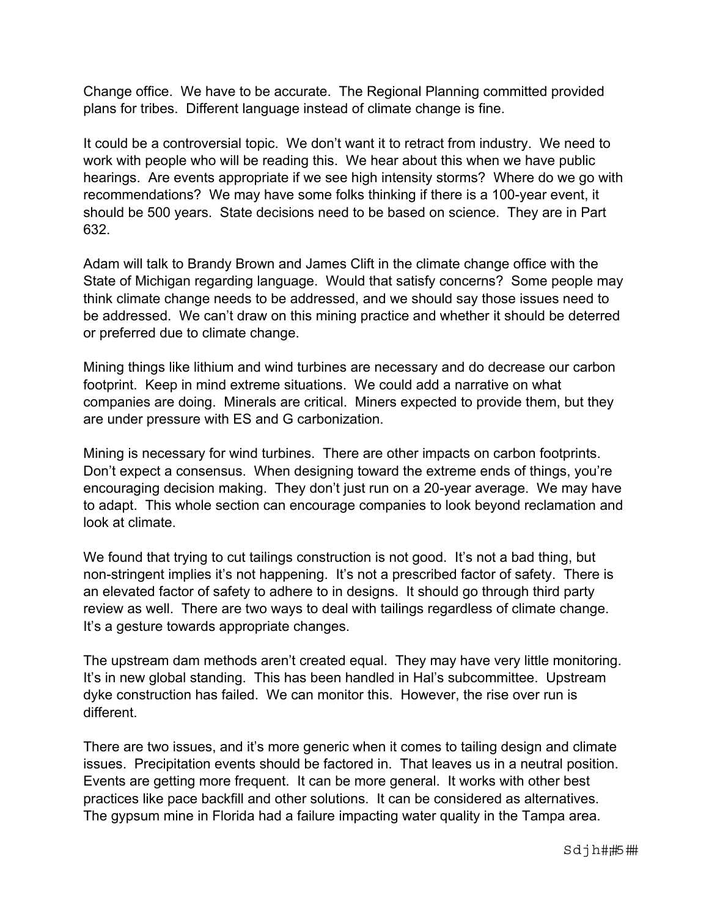Change office. We have to be accurate. The Regional Planning committed provided plans for tribes. Different language instead of climate change is fine.

It could be a controversial topic. We don't want it to retract from industry. We need to work with people who will be reading this. We hear about this when we have public hearings. Are events appropriate if we see high intensity storms? Where do we go with recommendations? We may have some folks thinking if there is a 100-year event, it should be 500 years. State decisions need to be based on science. They are in Part 632.

Adam will talk to Brandy Brown and James Clift in the climate change office with the State of Michigan regarding language. Would that satisfy concerns? Some people may think climate change needs to be addressed, and we should say those issues need to be addressed. We can't draw on this mining practice and whether it should be deterred or preferred due to climate change.

Mining things like lithium and wind turbines are necessary and do decrease our carbon footprint. Keep in mind extreme situations. We could add a narrative on what companies are doing. Minerals are critical. Miners expected to provide them, but they are under pressure with ES and G carbonization.

Mining is necessary for wind turbines. There are other impacts on carbon footprints. Don't expect a consensus. When designing toward the extreme ends of things, you're encouraging decision making. They don't just run on a 20-year average. We may have to adapt. This whole section can encourage companies to look beyond reclamation and look at climate.

We found that trying to cut tailings construction is not good. It's not a bad thing, but non-stringent implies it's not happening. It's not a prescribed factor of safety. There is an elevated factor of safety to adhere to in designs. It should go through third party review as well. There are two ways to deal with tailings regardless of climate change. It's a gesture towards appropriate changes.

The upstream dam methods aren't created equal. They may have very little monitoring. It's in new global standing. This has been handled in Hal's subcommittee. Upstream dyke construction has failed. We can monitor this. However, the rise over run is different.

There are two issues, and it's more generic when it comes to tailing design and climate issues. Precipitation events should be factored in. That leaves us in a neutral position. Events are getting more frequent. It can be more general. It works with other best practices like pace backfill and other solutions. It can be considered as alternatives. The gypsum mine in Florida had a failure impacting water quality in the Tampa area.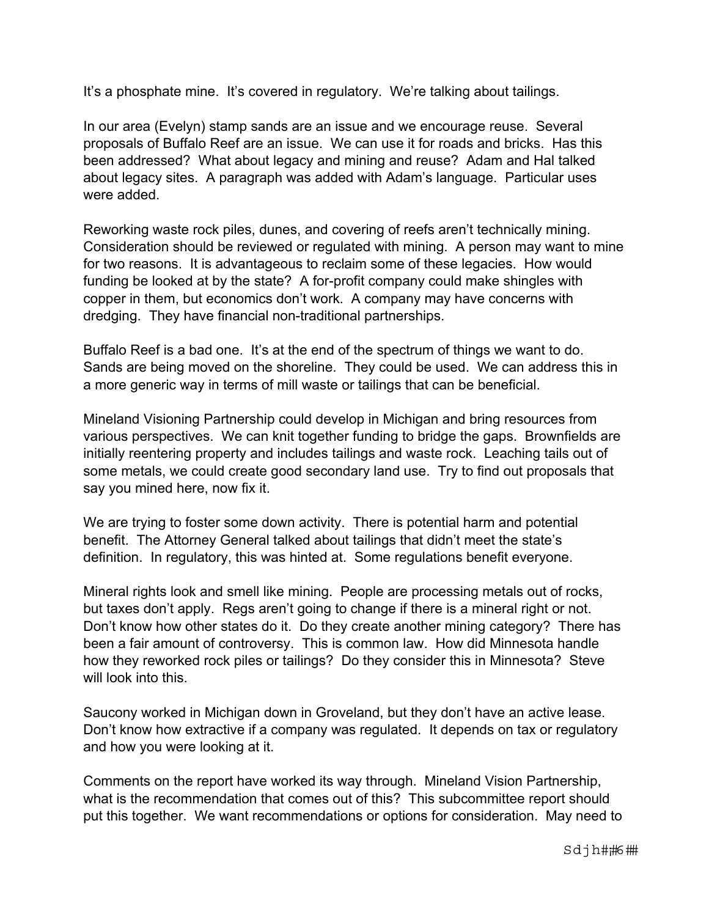It's a phosphate mine. It's covered in regulatory. We're talking about tailings.

In our area (Evelyn) stamp sands are an issue and we encourage reuse. Several proposals of Buffalo Reef are an issue. We can use it for roads and bricks. Has this been addressed? What about legacy and mining and reuse? Adam and Hal talked about legacy sites. A paragraph was added with Adam's language. Particular uses were added.

Reworking waste rock piles, dunes, and covering of reefs aren't technically mining. Consideration should be reviewed or regulated with mining. A person may want to mine for two reasons. It is advantageous to reclaim some of these legacies. How would funding be looked at by the state? A for-profit company could make shingles with copper in them, but economics don't work. A company may have concerns with dredging. They have financial non-traditional partnerships.

Buffalo Reef is a bad one. It's at the end of the spectrum of things we want to do. Sands are being moved on the shoreline. They could be used. We can address this in a more generic way in terms of mill waste or tailings that can be beneficial.

Mineland Visioning Partnership could develop in Michigan and bring resources from various perspectives. We can knit together funding to bridge the gaps. Brownfields are initially reentering property and includes tailings and waste rock. Leaching tails out of some metals, we could create good secondary land use. Try to find out proposals that say you mined here, now fix it.

We are trying to foster some down activity. There is potential harm and potential benefit. The Attorney General talked about tailings that didn't meet the state's definition. In regulatory, this was hinted at. Some regulations benefit everyone.

Mineral rights look and smell like mining. People are processing metals out of rocks, but taxes don't apply. Regs aren't going to change if there is a mineral right or not. Don't know how other states do it. Do they create another mining category? There has been a fair amount of controversy. This is common law. How did Minnesota handle how they reworked rock piles or tailings? Do they consider this in Minnesota? Steve will look into this.

Saucony worked in Michigan down in Groveland, but they don't have an active lease. Don't know how extractive if a company was regulated. It depends on tax or regulatory and how you were looking at it.

Comments on the report have worked its way through. Mineland Vision Partnership, what is the recommendation that comes out of this? This subcommittee report should put this together. We want recommendations or options for consideration. May need to